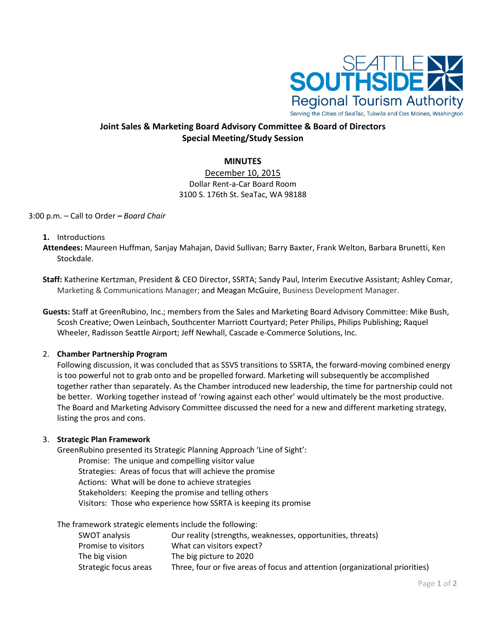

# **Joint Sales & Marketing Board Advisory Committee & Board of Directors Special Meeting/Study Session**

# **MINUTES**

December 10, 2015 Dollar Rent-a-Car Board Room 3100 S. 176th St. SeaTac, WA 98188

#### 3:00 p.m. – Call to Order **–** *Board Chair*

#### **1.** Introductions

- **Attendees:** Maureen Huffman, Sanjay Mahajan, David Sullivan; Barry Baxter, Frank Welton, Barbara Brunetti, Ken Stockdale.
- **Staff:** Katherine Kertzman, President & CEO Director, SSRTA; Sandy Paul, Interim Executive Assistant; Ashley Comar, Marketing & Communications Manager; and Meagan McGuire, Business Development Manager.
- **Guests:** Staff at GreenRubino, Inc.; members from the Sales and Marketing Board Advisory Committee: Mike Bush, Scosh Creative; Owen Leinbach, Southcenter Marriott Courtyard; Peter Philips, Philips Publishing; Raquel Wheeler, Radisson Seattle Airport; Jeff Newhall, Cascade e-Commerce Solutions, Inc.

# 2. **Chamber Partnership Program**

Following discussion, it was concluded that as SSVS transitions to SSRTA, the forward-moving combined energy is too powerful not to grab onto and be propelled forward. Marketing will subsequently be accomplished together rather than separately. As the Chamber introduced new leadership, the time for partnership could not be better. Working together instead of 'rowing against each other' would ultimately be the most productive. The Board and Marketing Advisory Committee discussed the need for a new and different marketing strategy, listing the pros and cons.

# 3. **Strategic Plan Framework**

GreenRubino presented its Strategic Planning Approach 'Line of Sight':

Promise: The unique and compelling visitor value Strategies: Areas of focus that will achieve the promise Actions: What will be done to achieve strategies Stakeholders: Keeping the promise and telling others Visitors: Those who experience how SSRTA is keeping its promise

The framework strategic elements include the following:

| SWOT analysis         | Our reality (strengths, weaknesses, opportunities, threats)                  |
|-----------------------|------------------------------------------------------------------------------|
| Promise to visitors   | What can visitors expect?                                                    |
| The big vision        | The big picture to 2020                                                      |
| Strategic focus areas | Three, four or five areas of focus and attention (organizational priorities) |